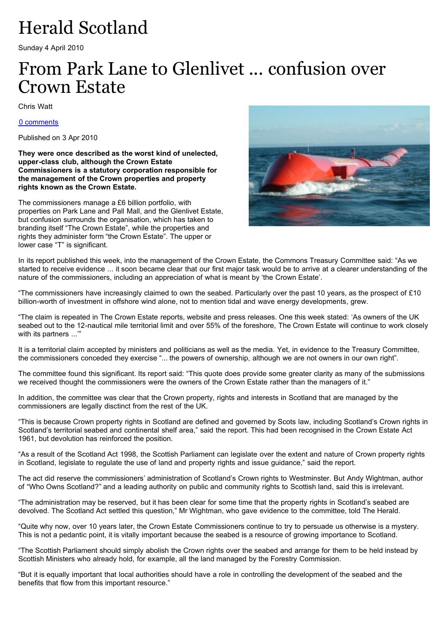## Herald Scotland

Sunday 4 April 2010

## From Park Lane to Glenlivet ... confusion over Crown Estate

Chris Watt

[0 comments](http://www.heraldscotland.com/news/home-news/from-park-lane-to-glenlivet-confusion-over-crown-estate-1.1018103#have-your-say)

Published on 3 Apr 2010

**They were once described as the worst kind of unelected, upper-class club, although the Crown Estate Commissioners is a statutory corporation responsible for the management of the Crown properties and property rights known as the Crown Estate.**

The commissioners manage a £6 billion portfolio, with properties on Park Lane and Pall Mall, and the Glenlivet Estate, but confusion surrounds the organisation, which has taken to branding itself "The Crown Estate", while the properties and rights they administer form "the Crown Estate". The upper or lower case "T" is significant.



In its report published this week, into the management of the Crown Estate, the Commons Treasury Committee said: "As we started to receive evidence ... it soon became clear that our first major task would be to arrive at a clearer understanding of the nature of the commissioners, including an appreciation of what is meant by 'the Crown Estate'.

"The commissioners have increasingly claimed to own the seabed. Particularly over the past 10 years, as the prospect of £10 billion-worth of investment in offshore wind alone, not to mention tidal and wave energy developments, grew.

"The claim is repeated in The Crown Estate reports, website and press releases. One this week stated: 'As owners of the UK seabed out to the 12-nautical mile territorial limit and over 55% of the foreshore, The Crown Estate will continue to work closely with its partners ...'"

It is a territorial claim accepted by ministers and politicians as well as the media. Yet, in evidence to the Treasury Committee, the commissioners conceded they exercise "... the powers of ownership, although we are not owners in our own right".

The committee found this significant. Its report said: "This quote does provide some greater clarity as many of the submissions we received thought the commissioners were the owners of the Crown Estate rather than the managers of it."

In addition, the committee was clear that the Crown property, rights and interests in Scotland that are managed by the commissioners are legally disctinct from the rest of the UK.

"This is because Crown property rights in Scotland are defined and governed by Scots law, including Scotland's Crown rights in Scotland's territorial seabed and continental shelf area," said the report. This had been recognised in the Crown Estate Act 1961, but devolution has reinforced the position.

"As a result of the Scotland Act 1998, the Scottish Parliament can legislate over the extent and nature of Crown property rights in Scotland, legislate to regulate the use of land and property rights and issue guidance," said the report.

The act did reserve the commissioners' administration of Scotland's Crown rights to Westminster. But Andy Wightman, author of "Who Owns Scotland?" and a leading authority on public and community rights to Scottish land, said this is irrelevant.

"The administration may be reserved, but it has been clear for some time that the property rights in Scotland's seabed are devolved. The Scotland Act settled this question," Mr Wightman, who gave evidence to the committee, told The Herald.

"Quite why now, over 10 years later, the Crown Estate Commissioners continue to try to persuade us otherwise is a mystery. This is not a pedantic point, it is vitally important because the seabed is a resource of growing importance to Scotland.

"The Scottish Parliament should simply abolish the Crown rights over the seabed and arrange for them to be held instead by Scottish Ministers who already hold, for example, all the land managed by the Forestry Commission.

"But it is equally important that local authorities should have a role in controlling the development of the seabed and the benefits that flow from this important resource."